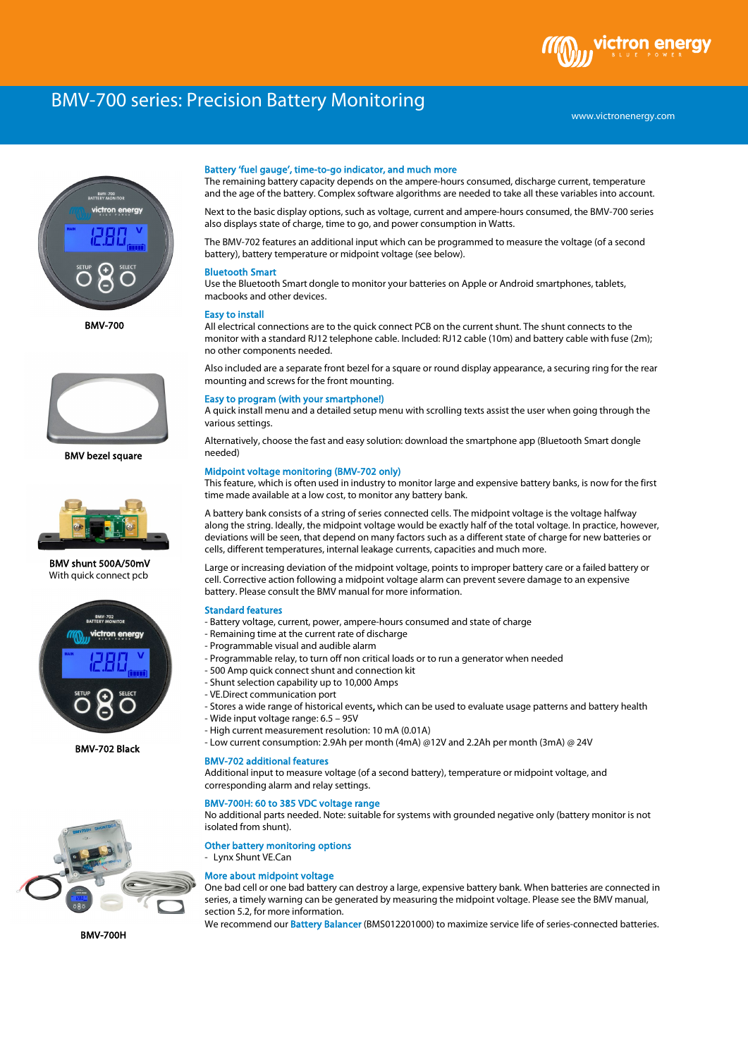# BMV-700 series: Precision Battery Monitoring



BMV-700



BMV bezel square



 BMV shunt 500A/50mV With quick connect pcb



BMV-702 Black



#### Battery 'fuel gauge', time-to-go indicator, and much more

The remaining battery capacity depends on the ampere-hours consumed, discharge current, temperature and the age of the battery. Complex software algorithms are needed to take all these variables into account.

Next to the basic display options, such as voltage, current and ampere-hours consumed, the BMV-700 series also displays state of charge, time to go, and power consumption in Watts.

The BMV-702 features an additional input which can be programmed to measure the voltage (of a second battery), battery temperature or midpoint voltage (see below).

# Bluetooth Smart

Use the Bluetooth Smart dongle to monitor your batteries on Apple or Android smartphones, tablets, macbooks and other devices.

#### Easy to install

All electrical connections are to the quick connect PCB on the current shunt. The shunt connects to the monitor with a standard RJ12 telephone cable. Included: RJ12 cable (10m) and battery cable with fuse (2m); no other components needed.

Also included are a separate front bezel for a square or round display appearance, a securing ring for the rear mounting and screws for the front mounting.

#### Easy to program (with your smartphone!)

A quick install menu and a detailed setup menu with scrolling texts assist the user when going through the various settings.

Alternatively, choose the fast and easy solution: download the smartphone app (Bluetooth Smart dongle needed)

### Midpoint voltage monitoring (BMV-702 only)

This feature, which is often used in industry to monitor large and expensive battery banks, is now for the first time made available at a low cost, to monitor any battery bank.

A battery bank consists of a string of series connected cells. The midpoint voltage is the voltage halfway along the string. Ideally, the midpoint voltage would be exactly half of the total voltage. In practice, however, deviations will be seen, that depend on many factors such as a different state of charge for new batteries or cells, different temperatures, internal leakage currents, capacities and much more.

Large or increasing deviation of the midpoint voltage, points to improper battery care or a failed battery or cell. Corrective action following a midpoint voltage alarm can prevent severe damage to an expensive battery. Please consult the BMV manual for more information.

# Standard features

- Battery voltage, current, power, ampere-hours consumed and state of charge
- Remaining time at the current rate of discharge
- Programmable visual and audible alarm
- Programmable relay, to turn off non critical loads or to run a generator when needed
- 500 Amp quick connect shunt and connection kit
- Shunt selection capability up to 10,000 Amps
- VE.Direct communication port
- Stores a wide range of historical events, which can be used to evaluate usage patterns and battery health
- Wide input voltage range: 6.5 95V
- High current measurement resolution: 10 mA (0.01A)
- Low current consumption: 2.9Ah per month (4mA) @12V and 2.2Ah per month (3mA) @ 24V

#### BMV-702 additional features

Additional input to measure voltage (of a second battery), temperature or midpoint voltage, and corresponding alarm and relay settings.

### BMV-700H: 60 to 385 VDC voltage range

No additional parts needed. Note: suitable for systems with grounded negative only (battery monitor is not isolated from shunt).

Other battery monitoring options Lynx Shunt VE.Can

#### More about midpoint voltage

One bad cell or one bad battery can destroy a large, expensive battery bank. When batteries are connected in series, a timely warning can be generated by measuring the midpoint voltage. Please see the BMV manual, section 5.2, for more information.

We recommend our Battery Balancer (BMS012201000) to maximize service life of series-connected batteries.